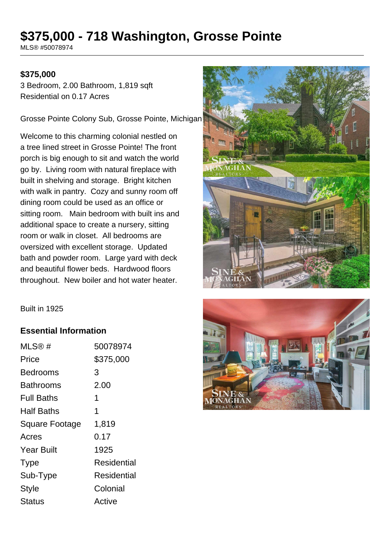# **\$375,000 - 718 Washington, Grosse Pointe**

MLS® #50078974

#### **\$375,000**

3 Bedroom, 2.00 Bathroom, 1,819 sqft Residential on 0.17 Acres

Grosse Pointe Colony Sub, Grosse Pointe, Michigan

Welcome to this charming colonial nestled on a tree lined street in Grosse Pointe! The front porch is big enough to sit and watch the world go by. Living room with natural fireplace with built in shelving and storage. Bright kitchen with walk in pantry. Cozy and sunny room off dining room could be used as an office or sitting room. Main bedroom with built ins and additional space to create a nursery, sitting room or walk in closet. All bedrooms are oversized with excellent storage. Updated bath and powder room. Large yard with deck and beautiful flower beds. Hardwood floors throughout. New boiler and hot water heater.



Built in 1925

#### **Essential Information**

| MLS@#             | 50078974           |
|-------------------|--------------------|
| Price             | \$375,000          |
| Bedrooms          | 3                  |
| Bathrooms         | 2.00               |
| Full Baths        | 1                  |
| Half Baths        | 1                  |
| Square Footage    | 1,819              |
| Acres             | 0.17               |
| <b>Year Built</b> | 1925               |
| <b>Type</b>       | <b>Residential</b> |
| Sub-Type          | Residential        |
| <b>Style</b>      | Colonial           |
| Status            | Active             |

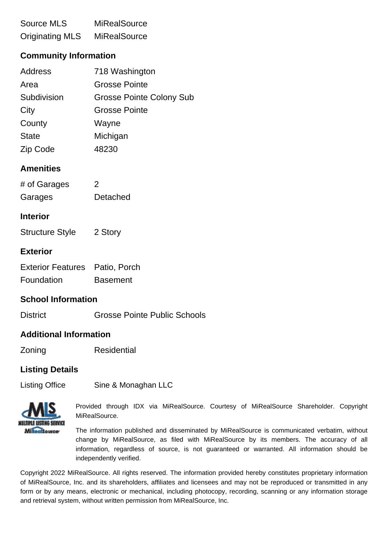# Source MLS MiRealSource Originating MLS MiRealSource

## **Community Information**

| <b>Address</b> | 718 Washington                  |
|----------------|---------------------------------|
| Area           | <b>Grosse Pointe</b>            |
| Subdivision    | <b>Grosse Pointe Colony Sub</b> |
| City           | <b>Grosse Pointe</b>            |
| County         | Wayne                           |
| <b>State</b>   | Michigan                        |
| Zip Code       | 48230                           |

### **Amenities**

| # of Garages | 2        |
|--------------|----------|
| Garages      | Detached |

#### **Interior**

Structure Style 2 Story

#### **Exterior**

| <b>Exterior Features</b> Patio, Porch |                 |
|---------------------------------------|-----------------|
| Foundation                            | <b>Basement</b> |

#### **School Information**

District Grosse Pointe Public Schools

#### **Additional Information**

Zoning Residential

#### **Listing Details**

Listing Office Sine & Monaghan LLC



Provided through IDX via MiRealSource. Courtesy of MiRealSource Shareholder. Copyright MiRealSource.

The information published and disseminated by MiRealSource is communicated verbatim, without change by MiRealSource, as filed with MiRealSource by its members. The accuracy of all information, regardless of source, is not guaranteed or warranted. All information should be independently verified.

Copyright 2022 MiRealSource. All rights reserved. The information provided hereby constitutes proprietary information of MiRealSource, Inc. and its shareholders, affiliates and licensees and may not be reproduced or transmitted in any form or by any means, electronic or mechanical, including photocopy, recording, scanning or any information storage and retrieval system, without written permission from MiRealSource, Inc.